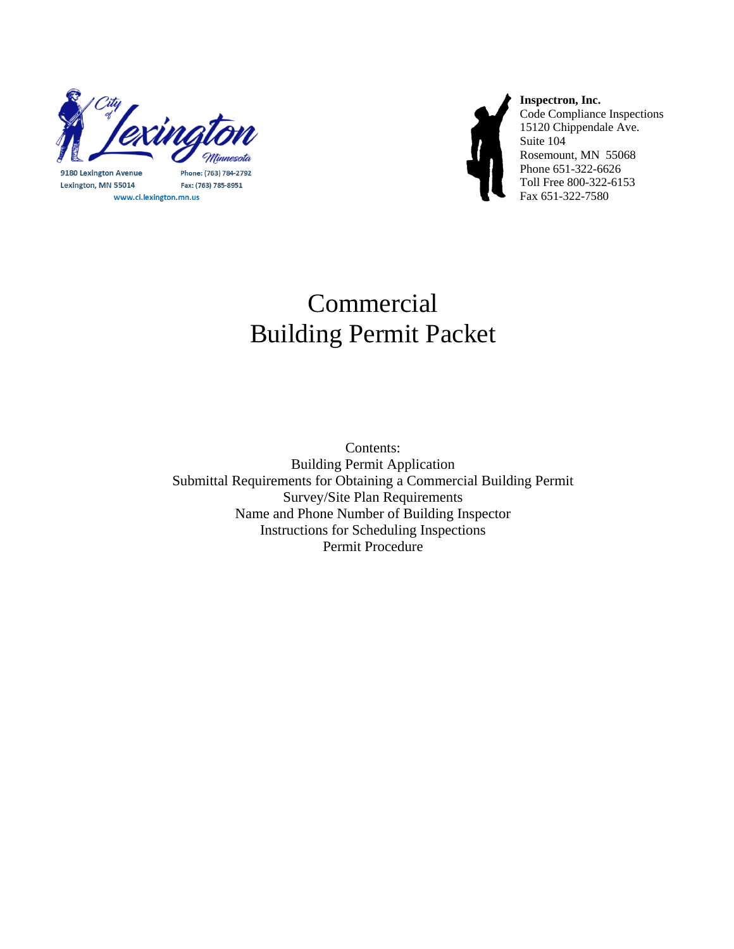

9180 Lexington Avenue Lexington, MN 55014 www.ci.lexington.mn.us

Phone: (763) 784-2792 Fax: (763) 785-8951



**Inspectron, Inc.**  Code Compliance Inspections 15120 Chippendale Ave. Suite 104 Rosemount, MN 55068 Phone 651-322-6626 Toll Free 800-322-6153 Fax 651-322-7580

# Commercial Building Permit Packet

Contents: Building Permit Application Submittal Requirements for Obtaining a Commercial Building Permit Survey/Site Plan Requirements Name and Phone Number of Building Inspector Instructions for Scheduling Inspections Permit Procedure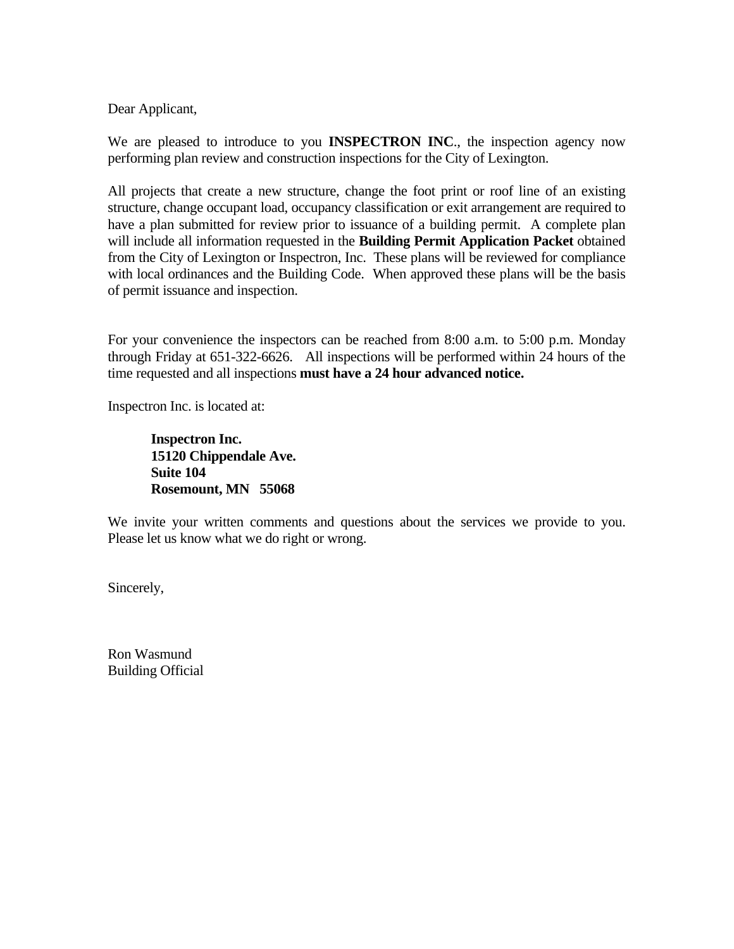Dear Applicant,

We are pleased to introduce to you **INSPECTRON INC**., the inspection agency now performing plan review and construction inspections for the City of Lexington.

All projects that create a new structure, change the foot print or roof line of an existing structure, change occupant load, occupancy classification or exit arrangement are required to have a plan submitted for review prior to issuance of a building permit. A complete plan will include all information requested in the **Building Permit Application Packet** obtained from the City of Lexington or Inspectron, Inc. These plans will be reviewed for compliance with local ordinances and the Building Code. When approved these plans will be the basis of permit issuance and inspection.

For your convenience the inspectors can be reached from 8:00 a.m. to 5:00 p.m. Monday through Friday at 651-322-6626. All inspections will be performed within 24 hours of the time requested and all inspections **must have a 24 hour advanced notice.** 

Inspectron Inc. is located at:

 **Inspectron Inc. 15120 Chippendale Ave. Suite 104 Rosemount, MN 55068** 

We invite your written comments and questions about the services we provide to you. Please let us know what we do right or wrong.

Sincerely,

Ron Wasmund Building Official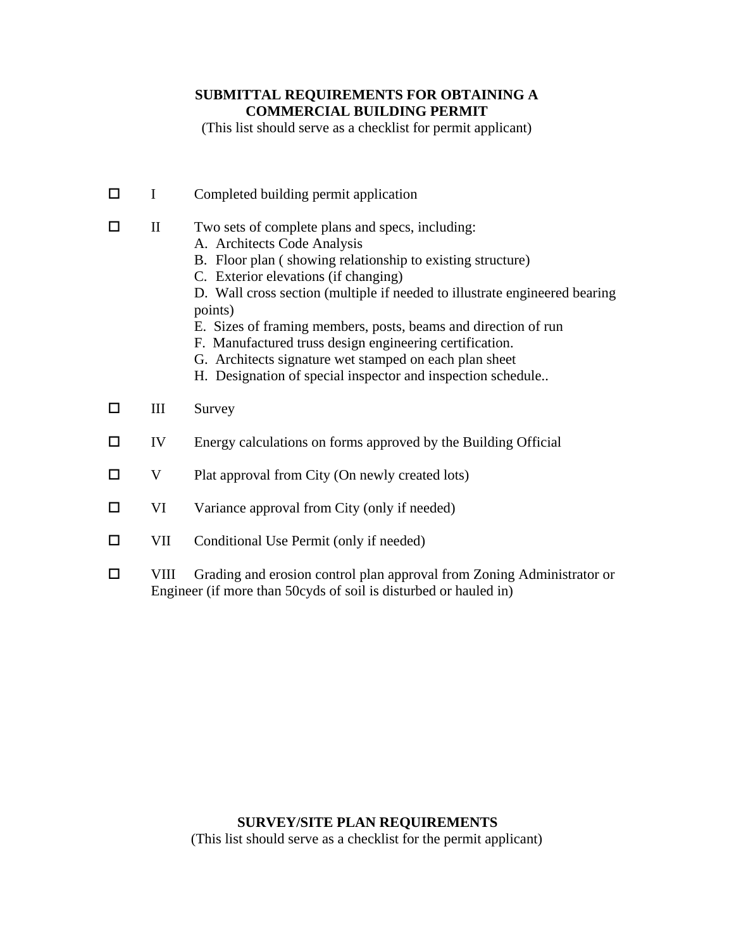### **SUBMITTAL REQUIREMENTS FOR OBTAINING A COMMERCIAL BUILDING PERMIT**

(This list should serve as a checklist for permit applicant)

 $\Box$  I Completed building permit application  $\Box$  II Two sets of complete plans and specs, including: A. Architects Code Analysis B. Floor plan ( showing relationship to existing structure) C. Exterior elevations (if changing) D. Wall cross section (multiple if needed to illustrate engineered bearing points) E. Sizes of framing members, posts, beams and direction of run F. Manufactured truss design engineering certification. G. Architects signature wet stamped on each plan sheet H. Designation of special inspector and inspection schedule..  $\Box$  III Survey  $\Box$  IV Energy calculations on forms approved by the Building Official  $\Box$  V Plat approval from City (On newly created lots)  $\Box$  VI Variance approval from City (only if needed)  $\Box$  VII Conditional Use Permit (only if needed) VIII Grading and erosion control plan approval from Zoning Administrator or

Engineer (if more than 50cyds of soil is disturbed or hauled in)

### **SURVEY/SITE PLAN REQUIREMENTS**

(This list should serve as a checklist for the permit applicant)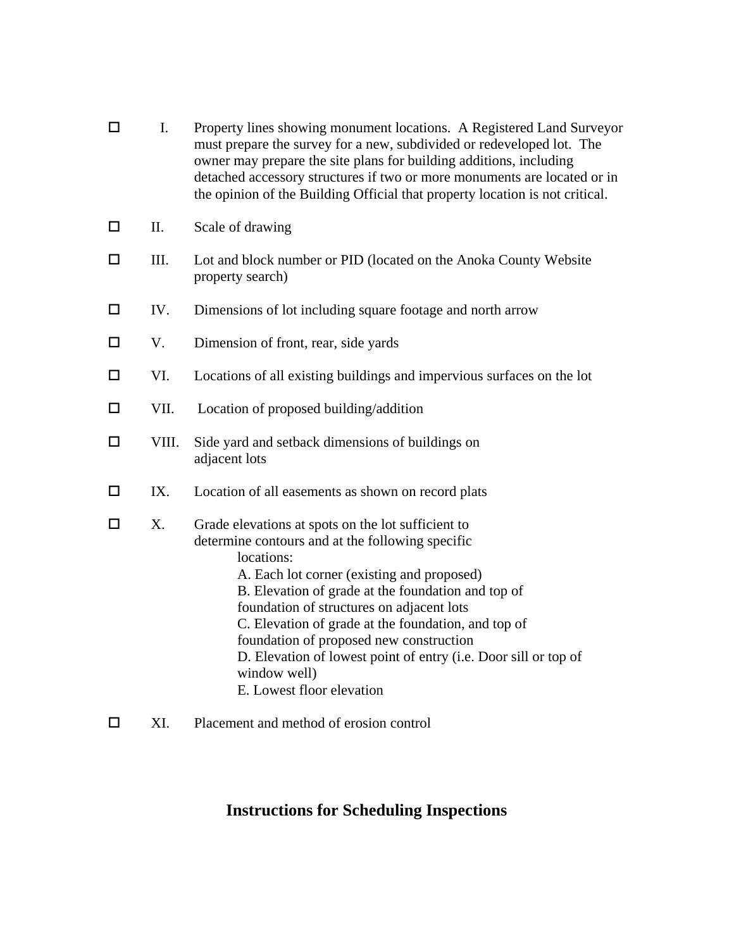| I.    | Property lines showing monument locations. A Registered Land Surveyor<br>must prepare the survey for a new, subdivided or redeveloped lot. The<br>owner may prepare the site plans for building additions, including<br>detached accessory structures if two or more monuments are located or in<br>the opinion of the Building Official that property location is not critical.                                                                                                        |
|-------|-----------------------------------------------------------------------------------------------------------------------------------------------------------------------------------------------------------------------------------------------------------------------------------------------------------------------------------------------------------------------------------------------------------------------------------------------------------------------------------------|
| П.    | Scale of drawing                                                                                                                                                                                                                                                                                                                                                                                                                                                                        |
| III.  | Lot and block number or PID (located on the Anoka County Website<br>property search)                                                                                                                                                                                                                                                                                                                                                                                                    |
| IV.   | Dimensions of lot including square footage and north arrow                                                                                                                                                                                                                                                                                                                                                                                                                              |
| V.    | Dimension of front, rear, side yards                                                                                                                                                                                                                                                                                                                                                                                                                                                    |
| VI.   | Locations of all existing buildings and impervious surfaces on the lot                                                                                                                                                                                                                                                                                                                                                                                                                  |
| VII.  | Location of proposed building/addition                                                                                                                                                                                                                                                                                                                                                                                                                                                  |
| VIII. | Side yard and setback dimensions of buildings on<br>adjacent lots                                                                                                                                                                                                                                                                                                                                                                                                                       |
| IX.   | Location of all easements as shown on record plats                                                                                                                                                                                                                                                                                                                                                                                                                                      |
| X.    | Grade elevations at spots on the lot sufficient to<br>determine contours and at the following specific<br>locations:<br>A. Each lot corner (existing and proposed)<br>B. Elevation of grade at the foundation and top of<br>foundation of structures on adjacent lots<br>C. Elevation of grade at the foundation, and top of<br>foundation of proposed new construction<br>D. Elevation of lowest point of entry (i.e. Door sill or top of<br>window well)<br>E. Lowest floor elevation |
|       |                                                                                                                                                                                                                                                                                                                                                                                                                                                                                         |

XI. Placement and method of erosion control

## **Instructions for Scheduling Inspections**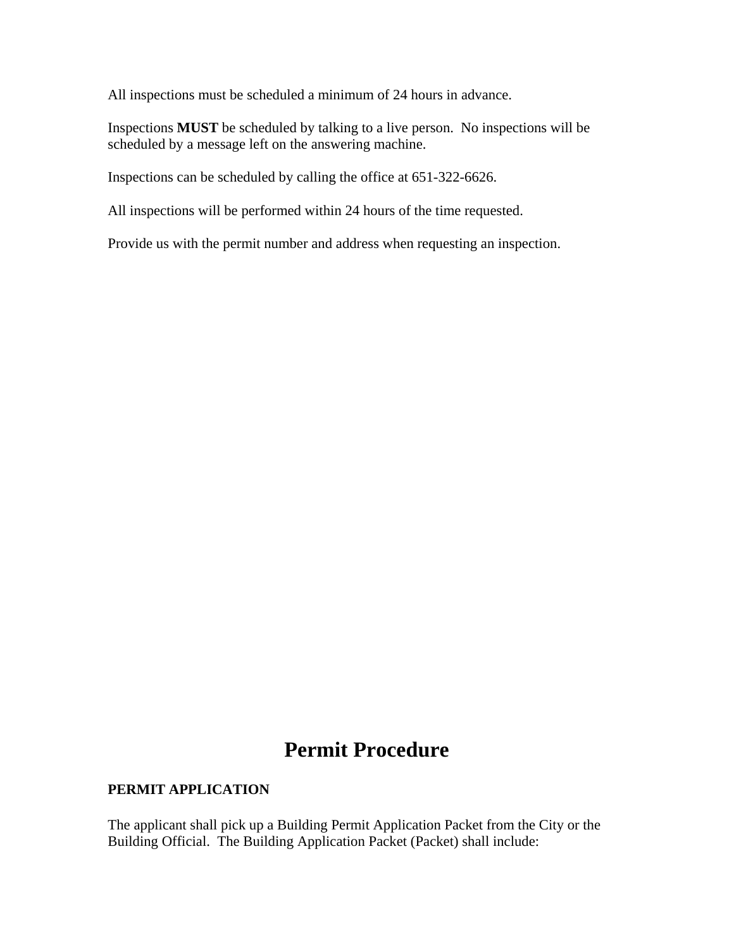All inspections must be scheduled a minimum of 24 hours in advance.

Inspections **MUST** be scheduled by talking to a live person. No inspections will be scheduled by a message left on the answering machine.

Inspections can be scheduled by calling the office at 651-322-6626.

All inspections will be performed within 24 hours of the time requested.

Provide us with the permit number and address when requesting an inspection.

### **Permit Procedure**

#### **PERMIT APPLICATION**

The applicant shall pick up a Building Permit Application Packet from the City or the Building Official. The Building Application Packet (Packet) shall include: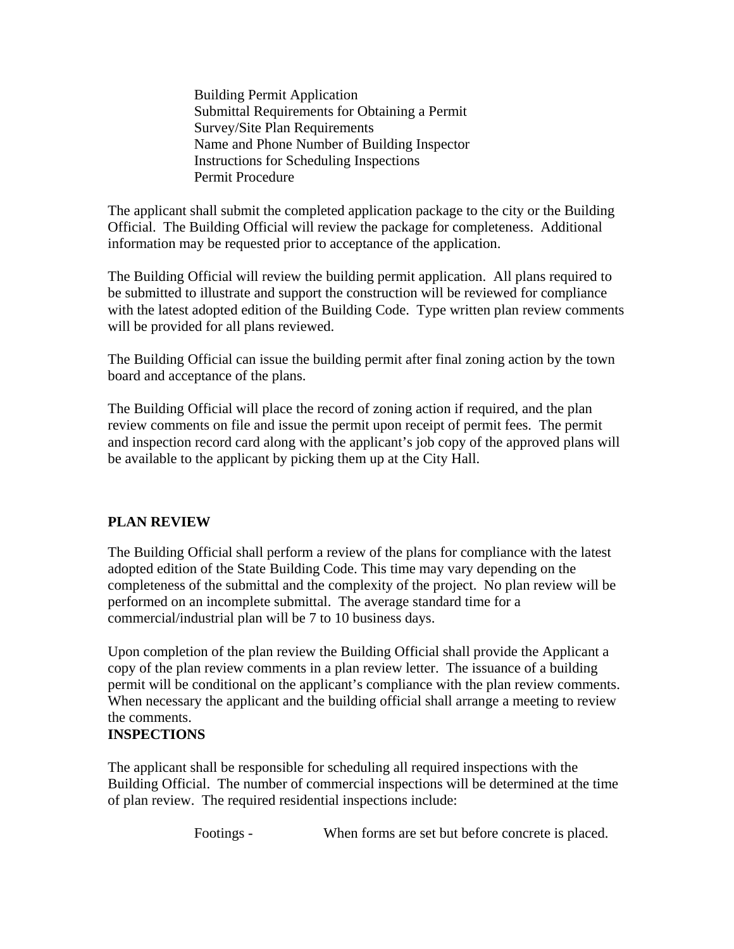Building Permit Application Submittal Requirements for Obtaining a Permit Survey/Site Plan Requirements Name and Phone Number of Building Inspector Instructions for Scheduling Inspections Permit Procedure

The applicant shall submit the completed application package to the city or the Building Official. The Building Official will review the package for completeness. Additional information may be requested prior to acceptance of the application.

The Building Official will review the building permit application. All plans required to be submitted to illustrate and support the construction will be reviewed for compliance with the latest adopted edition of the Building Code. Type written plan review comments will be provided for all plans reviewed.

The Building Official can issue the building permit after final zoning action by the town board and acceptance of the plans.

The Building Official will place the record of zoning action if required, and the plan review comments on file and issue the permit upon receipt of permit fees. The permit and inspection record card along with the applicant's job copy of the approved plans will be available to the applicant by picking them up at the City Hall.

### **PLAN REVIEW**

The Building Official shall perform a review of the plans for compliance with the latest adopted edition of the State Building Code. This time may vary depending on the completeness of the submittal and the complexity of the project. No plan review will be performed on an incomplete submittal. The average standard time for a commercial/industrial plan will be 7 to 10 business days.

Upon completion of the plan review the Building Official shall provide the Applicant a copy of the plan review comments in a plan review letter. The issuance of a building permit will be conditional on the applicant's compliance with the plan review comments. When necessary the applicant and the building official shall arrange a meeting to review the comments.

### **INSPECTIONS**

The applicant shall be responsible for scheduling all required inspections with the Building Official. The number of commercial inspections will be determined at the time of plan review. The required residential inspections include:

Footings - When forms are set but before concrete is placed.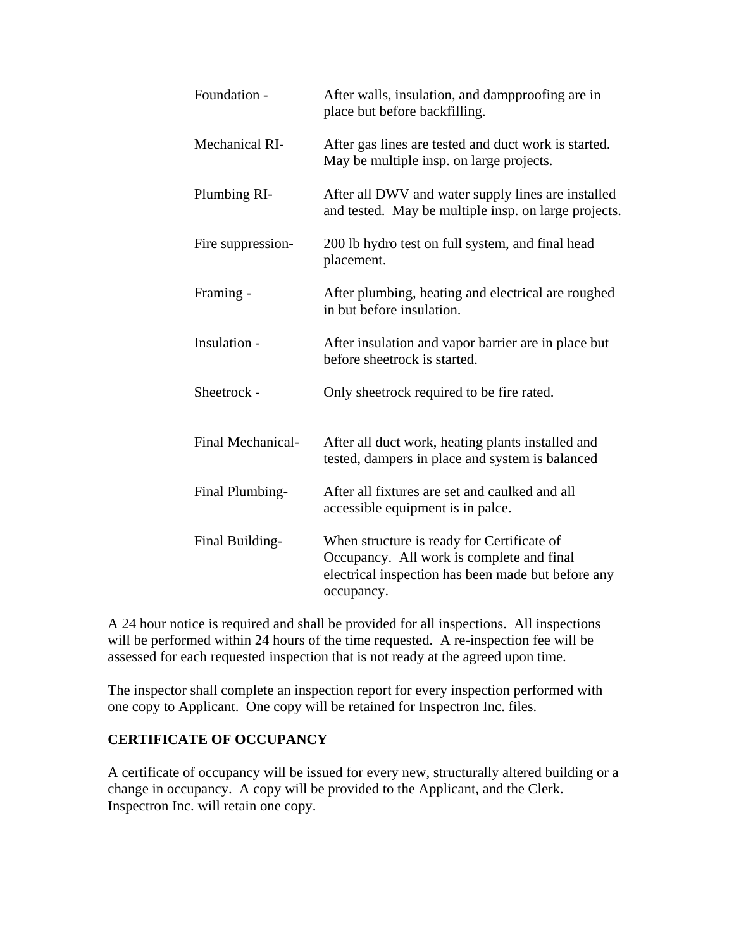| Foundation -             | After walls, insulation, and dampproofing are in<br>place but before backfilling.                                                                           |
|--------------------------|-------------------------------------------------------------------------------------------------------------------------------------------------------------|
| <b>Mechanical RI-</b>    | After gas lines are tested and duct work is started.<br>May be multiple insp. on large projects.                                                            |
| Plumbing RI-             | After all DWV and water supply lines are installed<br>and tested. May be multiple insp. on large projects.                                                  |
| Fire suppression-        | 200 lb hydro test on full system, and final head<br>placement.                                                                                              |
| Framing -                | After plumbing, heating and electrical are roughed<br>in but before insulation.                                                                             |
| Insulation -             | After insulation and vapor barrier are in place but<br>before sheetrock is started.                                                                         |
| Sheetrock -              | Only sheetrock required to be fire rated.                                                                                                                   |
| <b>Final Mechanical-</b> | After all duct work, heating plants installed and<br>tested, dampers in place and system is balanced                                                        |
| Final Plumbing-          | After all fixtures are set and caulked and all<br>accessible equipment is in palce.                                                                         |
| Final Building-          | When structure is ready for Certificate of<br>Occupancy. All work is complete and final<br>electrical inspection has been made but before any<br>occupancy. |

A 24 hour notice is required and shall be provided for all inspections. All inspections will be performed within 24 hours of the time requested. A re-inspection fee will be assessed for each requested inspection that is not ready at the agreed upon time.

The inspector shall complete an inspection report for every inspection performed with one copy to Applicant. One copy will be retained for Inspectron Inc. files.

### **CERTIFICATE OF OCCUPANCY**

A certificate of occupancy will be issued for every new, structurally altered building or a change in occupancy. A copy will be provided to the Applicant, and the Clerk. Inspectron Inc. will retain one copy.